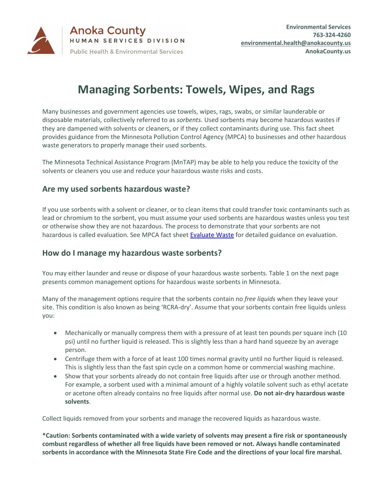

## **Managing Sorbents: Towels, Wipes, and Rags**

Many businesses and government agencies use towels, wipes, rags, swabs, or similar launderable or disposable materials, collectively referred to as *sorbents.* Used sorbents may become hazardous wastes if they are dampened with solvents or cleaners, or if they collect contaminants during use. This fact sheet provides guidance from the Minnesota Pollution Control Agency (MPCA) to businesses and other hazardous waste generators to properly manage their used sorbents.

The Minnesota Technical Assistance Program (MnTAP) may be able to help you reduce the toxicity of the solvents or cleaners you use and reduce your hazardous waste risks and costs.

## **Are my used sorbents hazardous waste?**

If you use sorbents with a solvent or cleaner, or to clean items that could transfer toxic contaminants such as lead or chromium to the sorbent, you must assume your used sorbents are hazardous wastes unless you test or otherwise show they are not hazardous. The process to demonstrate that your sorbents are not hazardous is called evaluation. See MPCA fact sheet **Evaluate Waste** for detailed guidance on evaluation.

## **How do I manage my hazardous waste sorbents?**

You may either launder and reuse or dispose of your hazardous waste sorbents. Table 1 on the next page presents common management options for hazardous waste sorbents in Minnesota.

Many of the management options require that the sorbents contain no *free liquids* when they leave your site. This condition is also known as being 'RCRA-dry'. Assume that your sorbents contain free liquids unless you:

- Mechanically or manually compress them with a pressure of at least ten pounds per square inch (10 psi) until no further liquid is released. This is slightly less than a hard hand squeeze by an average person.
- Centrifuge them with a force of at least 100 times normal gravity until no further liquid is released. This is slightly less than the fast spin cycle on a common home or commercial washing machine.
- Show that your sorbents already do not contain free liquids after use or through another method. For example, a sorbent used with a minimal amount of a highly volatile solvent such as ethyl acetate or acetone often already contains no free liquids after normal use. **Do not air-dry hazardous waste solvents**.

Collect liquids removed from your sorbents and manage the recovered liquids as hazardous waste.

**\*Caution: Sorbents contaminated with a wide variety of solvents may present a fire risk or spontaneously combust regardless of whether all free liquids have been removed or not. Always handle contaminated sorbents in accordance with the Minnesota State Fire Code and the directions of your local fire marshal.**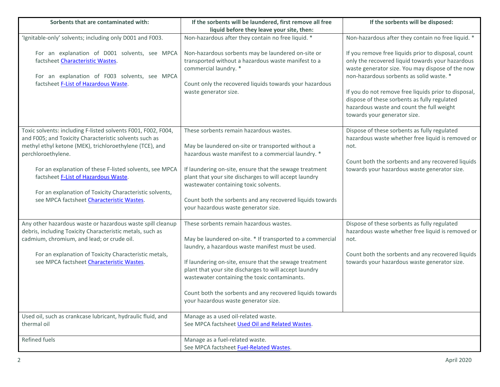| Sorbents that are contaminated with:                                                                                                                                                                                                                                        | If the sorbents will be laundered, first remove all free                                                                                                                                                                                            | If the sorbents will be disposed:                                                                                                                                                                                                                                                                                                                                                            |
|-----------------------------------------------------------------------------------------------------------------------------------------------------------------------------------------------------------------------------------------------------------------------------|-----------------------------------------------------------------------------------------------------------------------------------------------------------------------------------------------------------------------------------------------------|----------------------------------------------------------------------------------------------------------------------------------------------------------------------------------------------------------------------------------------------------------------------------------------------------------------------------------------------------------------------------------------------|
|                                                                                                                                                                                                                                                                             | liquid before they leave your site, then:                                                                                                                                                                                                           |                                                                                                                                                                                                                                                                                                                                                                                              |
| 'Ignitable-only' solvents; including only D001 and F003.                                                                                                                                                                                                                    | Non-hazardous after they contain no free liquid. *                                                                                                                                                                                                  | Non-hazardous after they contain no free liquid. *                                                                                                                                                                                                                                                                                                                                           |
| For an explanation of D001 solvents, see MPCA<br>factsheet Characteristic Wastes.<br>For an explanation of F003 solvents, see MPCA<br>factsheet F-List of Hazardous Waste.                                                                                                  | Non-hazardous sorbents may be laundered on-site or<br>transported without a hazardous waste manifest to a<br>commercial laundry. *<br>Count only the recovered liquids towards your hazardous<br>waste generator size.                              | If you remove free liquids prior to disposal, count<br>only the recovered liquid towards your hazardous<br>waste generator size. You may dispose of the now<br>non-hazardous sorbents as solid waste. *<br>If you do not remove free liquids prior to disposal,<br>dispose of these sorbents as fully regulated<br>hazardous waste and count the full weight<br>towards your generator size. |
| Toxic solvents: including F-listed solvents F001, F002, F004,<br>and F005; and Toxicity Characteristic solvents such as<br>methyl ethyl ketone (MEK), trichloroethylene (TCE), and<br>perchloroethylene.<br>For an explanation of these F-listed solvents, see MPCA         | These sorbents remain hazardous wastes.<br>May be laundered on-site or transported without a<br>hazardous waste manifest to a commercial laundry. *<br>If laundering on-site, ensure that the sewage treatment                                      | Dispose of these sorbents as fully regulated<br>hazardous waste whether free liquid is removed or<br>not.<br>Count both the sorbents and any recovered liquids<br>towards your hazardous waste generator size.                                                                                                                                                                               |
| factsheet F-List of Hazardous Waste.<br>For an explanation of Toxicity Characteristic solvents,<br>see MPCA factsheet Characteristic Wastes.                                                                                                                                | plant that your site discharges to will accept laundry<br>wastewater containing toxic solvents.<br>Count both the sorbents and any recovered liquids towards<br>your hazardous waste generator size.                                                |                                                                                                                                                                                                                                                                                                                                                                                              |
| Any other hazardous waste or hazardous waste spill cleanup<br>debris, including Toxicity Characteristic metals, such as<br>cadmium, chromium, and lead; or crude oil.<br>For an explanation of Toxicity Characteristic metals,<br>see MPCA factsheet Characteristic Wastes. | These sorbents remain hazardous wastes.<br>May be laundered on-site. * If transported to a commercial<br>laundry, a hazardous waste manifest must be used.<br>If laundering on-site, ensure that the sewage treatment                               | Dispose of these sorbents as fully regulated<br>hazardous waste whether free liquid is removed or<br>not.<br>Count both the sorbents and any recovered liquids<br>towards your hazardous waste generator size.                                                                                                                                                                               |
| Used oil, such as crankcase lubricant, hydraulic fluid, and                                                                                                                                                                                                                 | plant that your site discharges to will accept laundry<br>wastewater containing the toxic contaminants.<br>Count both the sorbents and any recovered liquids towards<br>your hazardous waste generator size.<br>Manage as a used oil-related waste. |                                                                                                                                                                                                                                                                                                                                                                                              |
| thermal oil                                                                                                                                                                                                                                                                 | See MPCA factsheet Used Oil and Related Wastes.                                                                                                                                                                                                     |                                                                                                                                                                                                                                                                                                                                                                                              |
| Refined fuels                                                                                                                                                                                                                                                               | Manage as a fuel-related waste.<br>See MPCA factsheet Fuel-Related Wastes.                                                                                                                                                                          |                                                                                                                                                                                                                                                                                                                                                                                              |